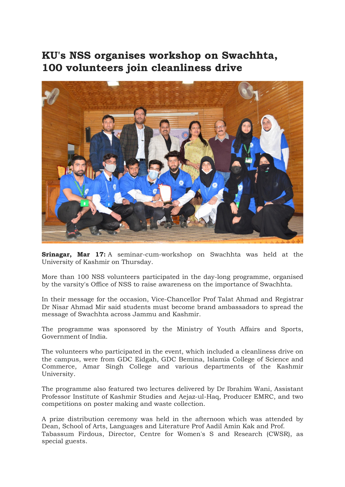## KU's NSS organises workshop on Swachhta, 100 volunteers join cleanliness drive



Srinagar, Mar 17: A seminar-cum-workshop on Swachhta was held at the University of Kashmir on Thursday.

More than 100 NSS volunteers participated in the day-long programme, organised by the varsity's Office of NSS to raise awareness on the importance of Swachhta.

In their message for the occasion, Vice-Chancellor Prof Talat Ahmad and Registrar Dr Nisar Ahmad Mir said students must become brand ambassadors to spread the message of Swachhta across Jammu and Kashmir.

The programme was sponsored by the Ministry of Youth Affairs and Sports, Government of India.

The volunteers who participated in the event, which included a cleanliness drive on the campus, were from GDC Eidgah, GDC Bemina, Islamia College of Science and Commerce, Amar Singh College and various departments of the Kashmir University.

The programme also featured two lectures delivered by Dr Ibrahim Wani, Assistant Professor Institute of Kashmir Studies and Aejaz-ul-Haq, Producer EMRC, and two competitions on poster making and waste collection.

A prize distribution ceremony was held in the afternoon which was attended by Dean, School of Arts, Languages and Literature Prof Aadil Amin Kak and Prof. Tabassum Firdous, Director, Centre for Women's S and Research (CWSR), as special guests.